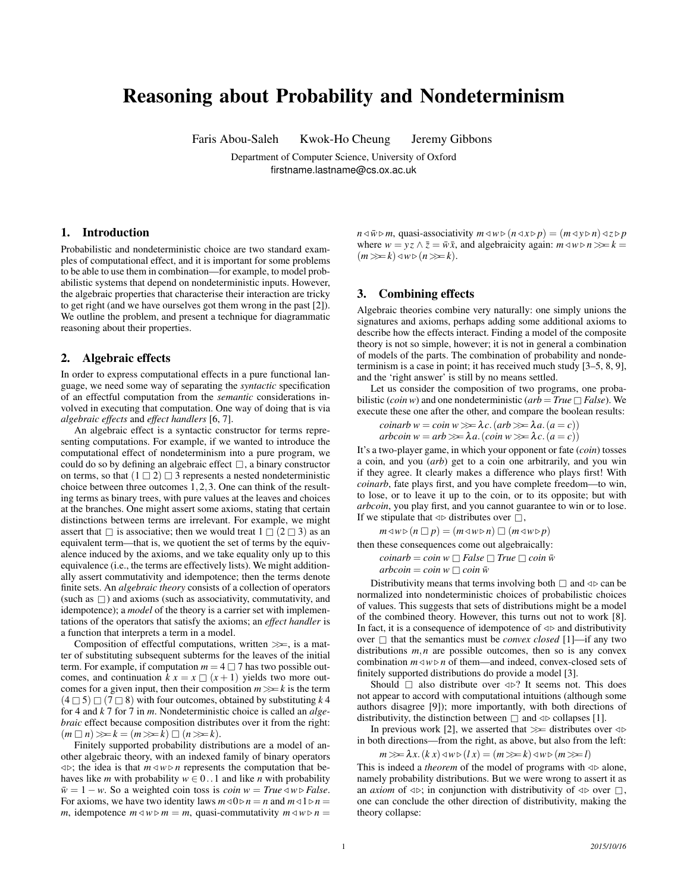# Reasoning about Probability and Nondeterminism

Faris Abou-Saleh Kwok-Ho Cheung Jeremy Gibbons

Department of Computer Science, University of Oxford firstname.lastname@cs.ox.ac.uk

### 1. Introduction

Probabilistic and nondeterministic choice are two standard examples of computational effect, and it is important for some problems to be able to use them in combination—for example, to model probabilistic systems that depend on nondeterministic inputs. However, the algebraic properties that characterise their interaction are tricky to get right (and we have ourselves got them wrong in the past [2]). We outline the problem, and present a technique for diagrammatic reasoning about their properties.

#### 2. Algebraic effects

In order to express computational effects in a pure functional language, we need some way of separating the *syntactic* specification of an effectful computation from the *semantic* considerations involved in executing that computation. One way of doing that is via *algebraic effects* and *effect handlers* [6, 7].

An algebraic effect is a syntactic constructor for terms representing computations. For example, if we wanted to introduce the computational effect of nondeterminism into a pure program, we could do so by defining an algebraic effect  $\Box$ , a binary constructor on terms, so that  $(1 \square 2) \square 3$  represents a nested nondeterministic choice between three outcomes 1,2,3. One can think of the resulting terms as binary trees, with pure values at the leaves and choices at the branches. One might assert some axioms, stating that certain distinctions between terms are irrelevant. For example, we might assert that  $\Box$  is associative; then we would treat  $1 \Box (2 \Box 3)$  as an equivalent term—that is, we quotient the set of terms by the equivalence induced by the axioms, and we take equality only up to this equivalence (i.e., the terms are effectively lists). We might additionally assert commutativity and idempotence; then the terms denote finite sets. An *algebraic theory* consists of a collection of operators (such as  $\Box$ ) and axioms (such as associativity, commutativity, and idempotence); a *model* of the theory is a carrier set with implementations of the operators that satisfy the axioms; an *effect handler* is a function that interprets a term in a model.

Composition of effectful computations, written  $\gg$ , is a matter of substituting subsequent subterms for the leaves of the initial term. For example, if computation  $m = 4 \square 7$  has two possible outcomes, and continuation  $k x = x \square (x + 1)$  yields two more outcomes for a given input, then their composition  $m \gg k$  is the term  $(4 \square 5) \square (7 \square 8)$  with four outcomes, obtained by substituting k 4 for 4 and *k* 7 for 7 in *m*. Nondeterministic choice is called an *algebraic* effect because composition distributes over it from the right:  $(m \square n) \gg k = (m \gg k) \square (n \gg k).$ 

Finitely supported probability distributions are a model of another algebraic theory, with an indexed family of binary operators  $\langle \psi \rangle$ ; the idea is that  $m \langle \psi \rangle$  *n* represents the computation that behaves like *m* with probability  $w \in 0$ . 1 and like *n* with probability  $\bar{w} = 1 - w$ . So a weighted coin toss is *coin*  $w = True \triangleleft w \triangleright False$ . For axioms, we have two identity laws  $m \triangleleft 0 \triangleright n = n$  and  $m \triangleleft 1 \triangleright n =$ *m*, idempotence  $m \triangleleft w \triangleright m = m$ , quasi-commutativity  $m \triangleleft w \triangleright n =$ 

 $n \triangleleft \bar{w} \triangleright m$ , quasi-associativity  $m \triangleleft w \triangleright (n \triangleleft x \triangleright p) = (m \triangleleft y \triangleright n) \triangleleft z \triangleright p$ where  $w = vz \wedge \overline{z} = \overline{w}\overline{x}$ , and algebraicity again:  $m \triangleleft w \triangleright n \gg k =$  $(m \gg k) \triangleleft w \triangleright (n \gg k).$ 

## 3. Combining effects

Algebraic theories combine very naturally: one simply unions the signatures and axioms, perhaps adding some additional axioms to describe how the effects interact. Finding a model of the composite theory is not so simple, however; it is not in general a combination of models of the parts. The combination of probability and nondeterminism is a case in point; it has received much study [3–5, 8, 9], and the 'right answer' is still by no means settled.

Let us consider the composition of two programs, one probabilistic (*coin w*) and one nondeterministic ( $arb = True \square False$ ). We execute these one after the other, and compare the boolean results:

$$
coinarb w = coin w \ggg \lambda c. (arb \ggg \lambda a. (a = c))
$$
  
arbcoin w = arb \ggg \lambda a. (coin w \ggg \lambda c. (a = c))

It's a two-player game, in which your opponent or fate (*coin*) tosses a coin, and you (*arb*) get to a coin one arbitrarily, and you win if they agree. It clearly makes a difference who plays first! With *coinarb*, fate plays first, and you have complete freedom—to win, to lose, or to leave it up to the coin, or to its opposite; but with *arbcoin*, you play first, and you cannot guarantee to win or to lose. If we stipulate that  $\triangleleft \triangleright$  distributes over  $\Box$ ,

$$
m \triangleleft w \triangleright (n \square p) = (m \triangleleft w \triangleright n) \square (m \triangleleft w \triangleright p)
$$

then these consequences come out algebraically:

$$
coinarb = coin w \square False \square True \square coin \overline{w}
$$
  

$$
arbcoin = coin w \square coin \overline{w}
$$

Distributivity means that terms involving both  $\Box$  and  $\triangleleft \triangleright$  can be normalized into nondeterministic choices of probabilistic choices of values. This suggests that sets of distributions might be a model of the combined theory. However, this turns out not to work [8]. In fact, it is a consequence of idempotence of  $\triangleleft\triangleright$  and distributivity over  $\Box$  that the semantics must be *convex closed* [1]—if any two distributions  $m, n$  are possible outcomes, then so is any convex combination  $m \triangleleft w \triangleright n$  of them—and indeed, convex-closed sets of finitely supported distributions do provide a model [3].

Should  $\Box$  also distribute over  $\triangleleft \triangleright$ ? It seems not. This does not appear to accord with computational intuitions (although some authors disagree [9]); more importantly, with both directions of distributivity, the distinction between  $\Box$  and  $\triangleleft$  > collapses [1].

In previous work [2], we asserted that  $\gg$  distributes over  $\triangleleft$ in both directions—from the right, as above, but also from the left:

$$
m \gg \lambda x. (k x) \triangleleft w \triangleright (l x) = (m \gg k) \triangleleft w \triangleright (m \gg l)
$$

This is indeed a *theorem* of the model of programs with  $\triangleleft\triangleright$  alone, namely probability distributions. But we were wrong to assert it as an *axiom* of  $\triangleleft \triangleright$ ; in conjunction with distributivity of  $\triangleleft \triangleright$  over  $\Box$ , one can conclude the other direction of distributivity, making the theory collapse: